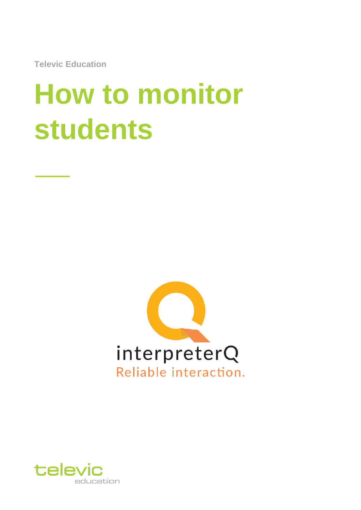**Televic Education**

# **How to monitor students**



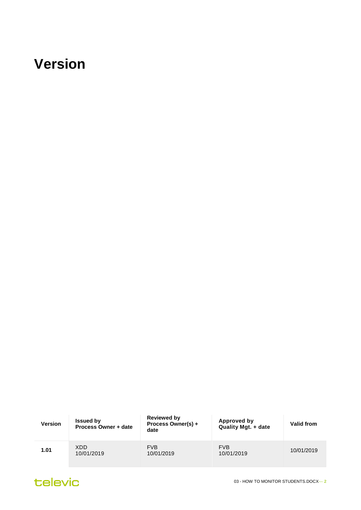#### <span id="page-1-0"></span>**Version**

| <b>Version</b> | <b>Issued by</b><br>Process Owner + date | <b>Reviewed by</b><br>Process Owner(s) +<br>date | Approved by<br><b>Quality Mgt. + date</b> | Valid from |
|----------------|------------------------------------------|--------------------------------------------------|-------------------------------------------|------------|
| 1.01           | XDD.<br>10/01/2019                       | <b>FVB</b><br>10/01/2019                         | <b>FVB</b><br>10/01/2019                  | 10/01/2019 |

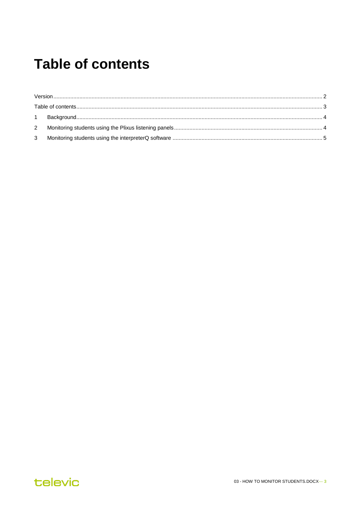#### <span id="page-2-0"></span>**Table of contents**

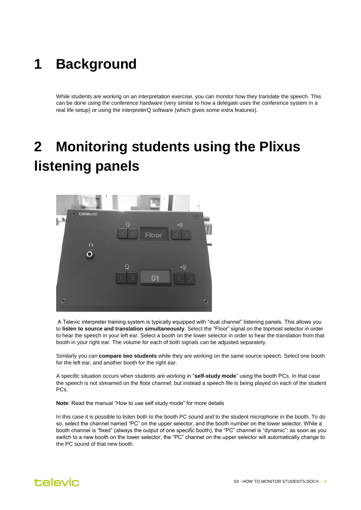#### <span id="page-3-0"></span>**1 Background**

While students are working on an interpretation exercise, you can monitor how they translate the speech. This can be done using the conference hardware (very similar to how a delegate uses the conference system in a real life setup) or using the interpreterQ software (which gives some extra features).

## <span id="page-3-1"></span>**2 Monitoring students using the Plixus listening panels**



A Televic interpreter training system is typically equipped with "dual channel" listening panels. This allows you to **listen to source and translation simultaneously**. Select the "Floor" signal on the topmost selector in order to hear the speech in your left ear. Select a booth on the lower selector in order to hear the translation from that booth in your right ear. The volume for each of both signals can be adjusted separately.

Similarly you can **compare two students** while they are working on the same source speech. Select one booth for the left ear, and another booth for the right ear.

A specific situation occurs when students are working in "**self-study mode**" using the booth PCs. In that case the speech is not streamed on the floor channel, but instead a speech file is being played on each of the student PCs.

**Note**: Read the manual "How to use self study mode" for more details

In this case it is possible to listen both to the booth PC sound and to the student microphone in the booth. To do so, select the channel named "PC" on the upper selector, and the booth number on the lower selector. While a booth channel is "fixed" (always the output of one specific booth), the "PC" channel is "dynamic": as soon as you switch to a new booth on the lower selector, the "PC" channel on the upper selector will automatically change to the PC sound of that new booth.